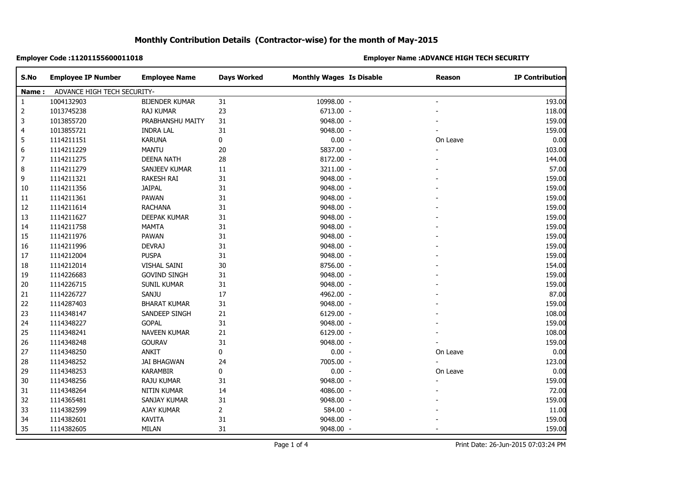### **Employer Code :11201155600011018 Employer Name :ADVANCE HIGH TECH SECURITY**

| S.No           | <b>Employee IP Number</b>   | <b>Employee Name</b>  | <b>Days Worked</b> | <b>Monthly Wages Is Disable</b> | Reason         | <b>IP Contribution</b> |
|----------------|-----------------------------|-----------------------|--------------------|---------------------------------|----------------|------------------------|
| Name:          | ADVANCE HIGH TECH SECURITY- |                       |                    |                                 |                |                        |
| 1              | 1004132903                  | <b>BIJENDER KUMAR</b> | 31                 | 10998.00 -                      | $\blacksquare$ | 193.00                 |
| $\overline{c}$ | 1013745238                  | <b>RAJ KUMAR</b>      | 23                 | 6713.00 -                       |                | 118.00                 |
| 3              | 1013855720                  | PRABHANSHU MAITY      | 31                 | 9048.00 -                       |                | 159.00                 |
| 4              | 1013855721                  | <b>INDRA LAL</b>      | 31                 | 9048.00 -                       |                | 159.00                 |
| 5              | 1114211151                  | <b>KARUNA</b>         | $\bf{0}$           | $0.00 -$                        | On Leave       | 0.00                   |
| 6              | 1114211229                  | <b>MANTU</b>          | 20                 | 5837.00 -                       |                | 103.00                 |
| 7              | 1114211275                  | <b>DEENA NATH</b>     | 28                 | 8172.00 -                       |                | 144.00                 |
| 8              | 1114211279                  | SANJEEV KUMAR         | 11                 | 3211.00 -                       |                | 57.00                  |
| 9              | 1114211321                  | <b>RAKESH RAI</b>     | 31                 | 9048.00 -                       |                | 159.00                 |
| 10             | 1114211356                  | <b>JAIPAL</b>         | 31                 | 9048.00 -                       |                | 159.00                 |
| 11             | 1114211361                  | PAWAN                 | 31                 | 9048.00 -                       |                | 159.00                 |
| 12             | 1114211614                  | <b>RACHANA</b>        | 31                 | 9048.00 -                       |                | 159.00                 |
| 13             | 1114211627                  | DEEPAK KUMAR          | 31                 | 9048.00 -                       |                | 159.00                 |
| 14             | 1114211758                  | <b>MAMTA</b>          | 31                 | 9048.00 -                       |                | 159.00                 |
| 15             | 1114211976                  | PAWAN                 | 31                 | 9048.00 -                       |                | 159.00                 |
| 16             | 1114211996                  | <b>DEVRAJ</b>         | 31                 | 9048.00 -                       |                | 159.00                 |
| 17             | 1114212004                  | <b>PUSPA</b>          | 31                 | 9048.00 -                       |                | 159.00                 |
| $18\,$         | 1114212014                  | VISHAL SAINI          | 30                 | 8756.00 -                       |                | 154.00                 |
| 19             | 1114226683                  | <b>GOVIND SINGH</b>   | 31                 | 9048.00 -                       |                | 159.00                 |
| 20             | 1114226715                  | SUNIL KUMAR           | 31                 | 9048.00 -                       |                | 159.00                 |
| 21             | 1114226727                  | SANJU                 | 17                 | 4962.00 -                       |                | 87.00                  |
| 22             | 1114287403                  | <b>BHARAT KUMAR</b>   | 31                 | 9048.00 -                       |                | 159.00                 |
| 23             | 1114348147                  | SANDEEP SINGH         | 21                 | 6129.00 -                       |                | 108.00                 |
| 24             | 1114348227                  | <b>GOPAL</b>          | 31                 | 9048.00 -                       |                | 159.00                 |
| 25             | 1114348241                  | <b>NAVEEN KUMAR</b>   | 21                 | 6129.00 -                       |                | 108.00                 |
| 26             | 1114348248                  | <b>GOURAV</b>         | 31                 | 9048.00 -                       |                | 159.00                 |
| 27             | 1114348250                  | ANKIT                 | $\pmb{0}$          | $0.00 -$                        | On Leave       | 0.00                   |
| 28             | 1114348252                  | <b>JAI BHAGWAN</b>    | 24                 | 7005.00 -                       |                | 123.00                 |
| 29             | 1114348253                  | <b>KARAMBIR</b>       | $\pmb{0}$          | $0.00 -$                        | On Leave       | 0.00                   |
| 30             | 1114348256                  | RAJU KUMAR            | 31                 | 9048.00 -                       |                | 159.00                 |
| 31             | 1114348264                  | NITIN KUMAR           | 14                 | 4086.00 -                       |                | 72.00                  |
| 32             | 1114365481                  | SANJAY KUMAR          | 31                 | 9048.00 -                       |                | 159.00                 |
| 33             | 1114382599                  | AJAY KUMAR            | $\overline{2}$     | 584.00 -                        |                | 11.00                  |
| 34             | 1114382601                  | <b>KAVITA</b>         | 31                 | 9048.00 -                       |                | 159.00                 |
| 35             | 1114382605                  | MILAN                 | 31                 | 9048.00 -                       |                | 159.00                 |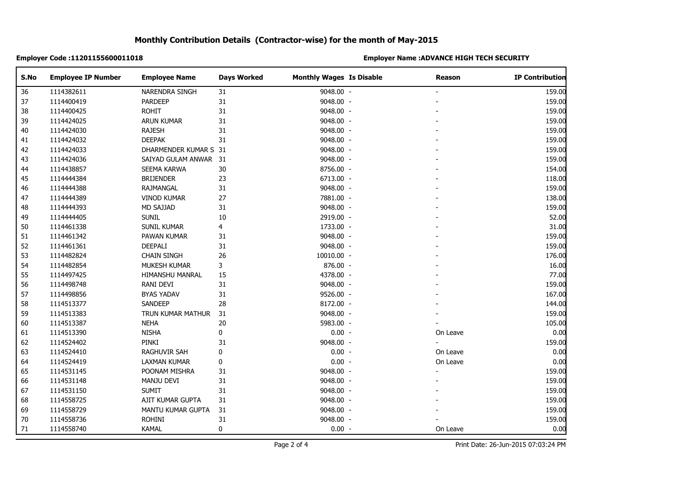### **Employer Code :11201155600011018 Employer Name :ADVANCE HIGH TECH SECURITY**

| S.No | <b>Employee IP Number</b> | <b>Employee Name</b>  | <b>Days Worked</b> | <b>Monthly Wages Is Disable</b> | <b>Reason</b>  | <b>IP Contribution</b> |
|------|---------------------------|-----------------------|--------------------|---------------------------------|----------------|------------------------|
| 36   | 1114382611                | NARENDRA SINGH        | 31                 | 9048.00 -                       |                | 159.00                 |
| 37   | 1114400419                | <b>PARDEEP</b>        | 31                 | 9048.00 -                       |                | 159.00                 |
| 38   | 1114400425                | <b>ROHIT</b>          | 31                 | 9048.00 -                       |                | 159.00                 |
| 39   | 1114424025                | <b>ARUN KUMAR</b>     | 31                 | 9048.00 -                       |                | 159.00                 |
| 40   | 1114424030                | <b>RAJESH</b>         | 31                 | 9048.00 -                       |                | 159.00                 |
| 41   | 1114424032                | <b>DEEPAK</b>         | 31                 | 9048.00 -                       |                | 159.00                 |
| 42   | 1114424033                | DHARMENDER KUMAR S 31 |                    | 9048.00 -                       |                | 159.00                 |
| 43   | 1114424036                | SAIYAD GULAM ANWAR 31 |                    | 9048.00 -                       |                | 159.00                 |
| 44   | 1114438857                | SEEMA KARWA           | 30                 | 8756.00 -                       |                | 154.00                 |
| 45   | 1114444384                | <b>BRIJENDER</b>      | 23                 | 6713.00 -                       |                | 118.00                 |
| 46   | 1114444388                | RAJMANGAL             | 31                 | 9048.00 -                       |                | 159.00                 |
| 47   | 1114444389                | <b>VINOD KUMAR</b>    | 27                 | 7881.00 -                       |                | 138.00                 |
| 48   | 1114444393                | MD SAJJAD             | 31                 | 9048.00 -                       |                | 159.00                 |
| 49   | 1114444405                | <b>SUNIL</b>          | 10                 | 2919.00 -                       |                | 52.00                  |
| 50   | 1114461338                | SUNIL KUMAR           | 4                  | 1733.00 -                       |                | 31.00                  |
| 51   | 1114461342                | PAWAN KUMAR           | 31                 | 9048.00 -                       |                | 159.00                 |
| 52   | 1114461361                | DEEPALI               | 31                 | 9048.00 -                       |                | 159.00                 |
| 53   | 1114482824                | <b>CHAIN SINGH</b>    | 26                 | 10010.00 -                      |                | 176.00                 |
| 54   | 1114482854                | MUKESH KUMAR          | 3                  | 876.00 -                        |                | 16.00                  |
| 55   | 1114497425                | HIMANSHU MANRAL       | 15                 | 4378.00 -                       |                | 77.00                  |
| 56   | 1114498748                | RANI DEVI             | $31\,$             | 9048.00 -                       |                | 159.00                 |
| 57   | 1114498856                | <b>BYAS YADAV</b>     | 31                 | 9526.00 -                       |                | 167.00                 |
| 58   | 1114513377                | SANDEEP               | 28                 | 8172.00 -                       |                | 144.00                 |
| 59   | 1114513383                | TRUN KUMAR MATHUR     | 31                 | 9048.00 -                       |                | 159.00                 |
| 60   | 1114513387                | <b>NEHA</b>           | $20\,$             | 5983.00 -                       |                | 105.00                 |
| 61   | 1114513390                | <b>NISHA</b>          | 0                  | $0.00 -$                        | On Leave       | 0.00                   |
| 62   | 1114524402                | PINKI                 | 31                 | 9048.00 -                       | ÷.             | 159.00                 |
| 63   | 1114524410                | <b>RAGHUVIR SAH</b>   | 0                  | $0.00 -$                        | On Leave       | 0.00                   |
| 64   | 1114524419                | LAXMAN KUMAR          | $\pmb{0}$          | $0.00 -$                        | On Leave       | 0.00                   |
| 65   | 1114531145                | POONAM MISHRA         | 31                 | 9048.00 -                       | $\blacksquare$ | 159.00                 |
| 66   | 1114531148                | MANJU DEVI            | 31                 | 9048.00 -                       |                | 159.00                 |
| 67   | 1114531150                | <b>SUMIT</b>          | 31                 | 9048.00 -                       |                | 159.00                 |
| 68   | 1114558725                | AJIT KUMAR GUPTA      | 31                 | 9048.00 -                       |                | 159.00                 |
| 69   | 1114558729                | MANTU KUMAR GUPTA     | 31                 | 9048.00 -                       |                | 159.00                 |
| 70   | 1114558736                | <b>ROHINI</b>         | 31                 | 9048.00 -                       |                | 159.00                 |
| 71   | 1114558740                | <b>KAMAL</b>          | $\pmb{0}$          | $0.00 -$                        | On Leave       | 0.00                   |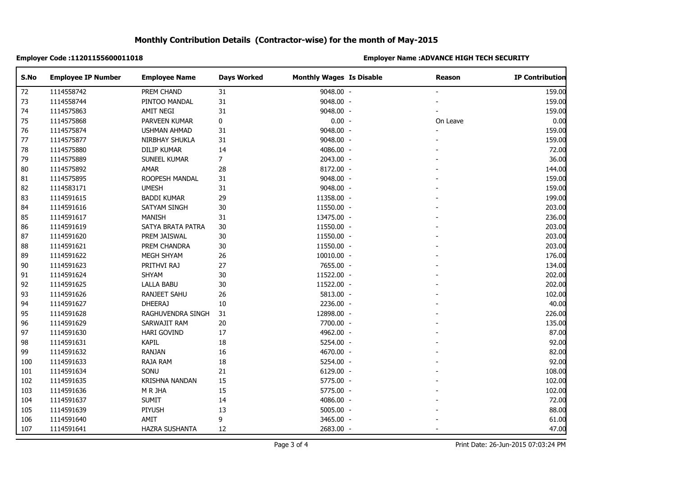### **Employer Code :11201155600011018 Employer Name :ADVANCE HIGH TECH SECURITY**

| S.No | <b>Employee IP Number</b> | <b>Employee Name</b>  | <b>Days Worked</b> | <b>Monthly Wages Is Disable</b> | Reason         | <b>IP Contribution</b> |
|------|---------------------------|-----------------------|--------------------|---------------------------------|----------------|------------------------|
| 72   | 1114558742                | PREM CHAND            | 31                 | 9048.00 -                       |                | 159.00                 |
| 73   | 1114558744                | PINTOO MANDAL         | $31\,$             | 9048.00 -                       |                | 159.00                 |
| 74   | 1114575863                | AMIT NEGI             | 31                 | 9048.00 -                       |                | 159.00                 |
| 75   | 1114575868                | PARVEEN KUMAR         | 0                  | $0.00 -$                        | On Leave       | 0.00                   |
| 76   | 1114575874                | USHMAN AHMAD          | 31                 | 9048.00 -                       | $\blacksquare$ | 159.00                 |
| 77   | 1114575877                | NIRBHAY SHUKLA        | 31                 | 9048.00 -                       |                | 159.00                 |
| 78   | 1114575880                | <b>DILIP KUMAR</b>    | 14                 | 4086.00 -                       |                | 72.00                  |
| 79   | 1114575889                | SUNEEL KUMAR          | $\overline{7}$     | 2043.00 -                       |                | 36.00                  |
| 80   | 1114575892                | AMAR                  | 28                 | 8172.00 -                       |                | 144.00                 |
| 81   | 1114575895                | ROOPESH MANDAL        | 31                 | 9048.00 -                       |                | 159.00                 |
| 82   | 1114583171                | <b>UMESH</b>          | 31                 | 9048.00 -                       |                | 159.00                 |
| 83   | 1114591615                | <b>BADDI KUMAR</b>    | 29                 | 11358.00 -                      |                | 199.00                 |
| 84   | 1114591616                | SATYAM SINGH          | 30                 | 11550.00 -                      |                | 203.00                 |
| 85   | 1114591617                | <b>MANISH</b>         | 31                 | 13475.00 -                      |                | 236.00                 |
| 86   | 1114591619                | SATYA BRATA PATRA     | 30                 | 11550.00 -                      |                | 203.00                 |
| 87   | 1114591620                | PREM JAISWAL          | 30                 | 11550.00 -                      |                | 203.00                 |
| 88   | 1114591621                | PREM CHANDRA          | $30\,$             | 11550.00 -                      |                | 203.00                 |
| 89   | 1114591622                | MEGH SHYAM            | 26                 | 10010.00 -                      |                | 176.00                 |
| 90   | 1114591623                | PRITHVI RAJ           | 27                 | 7655.00 -                       |                | 134.00                 |
| 91   | 1114591624                | SHYAM                 | $30\,$             | 11522.00 -                      |                | 202.00                 |
| 92   | 1114591625                | <b>LALLA BABU</b>     | 30                 | 11522.00 -                      |                | 202.00                 |
| 93   | 1114591626                | RANJEET SAHU          | 26                 | 5813.00 -                       |                | 102.00                 |
| 94   | 1114591627                | <b>DHEERAJ</b>        | $10\,$             | 2236.00 -                       |                | 40.00                  |
| 95   | 1114591628                | RAGHUVENDRA SINGH     | 31                 | 12898.00 -                      |                | 226.00                 |
| 96   | 1114591629                | SARWAJIT RAM          | $20\,$             | 7700.00 -                       |                | 135.00                 |
| 97   | 1114591630                | HARI GOVIND           | 17                 | 4962.00 -                       |                | 87.00                  |
| 98   | 1114591631                | <b>KAPIL</b>          | $18\,$             | 5254.00 -                       |                | 92.00                  |
| 99   | 1114591632                | <b>RANJAN</b>         | 16                 | 4670.00 -                       |                | 82.00                  |
| 100  | 1114591633                | RAJA RAM              | 18                 | 5254.00 -                       |                | 92.00                  |
| 101  | 1114591634                | SONU                  | 21                 | 6129.00 -                       |                | 108.00                 |
| 102  | 1114591635                | <b>KRISHNA NANDAN</b> | 15                 | 5775.00 -                       |                | 102.00                 |
| 103  | 1114591636                | M R JHA               | 15                 | 5775.00 -                       |                | 102.00                 |
| 104  | 1114591637                | <b>SUMIT</b>          | 14                 | 4086.00 -                       |                | 72.00                  |
| 105  | 1114591639                | PIYUSH                | 13                 | 5005.00 -                       |                | 88.00                  |
| 106  | 1114591640                | AMIT                  | 9                  | 3465.00 -                       |                | 61.00                  |
| 107  | 1114591641                | HAZRA SUSHANTA        | 12                 | 2683.00 -                       |                | 47.00                  |